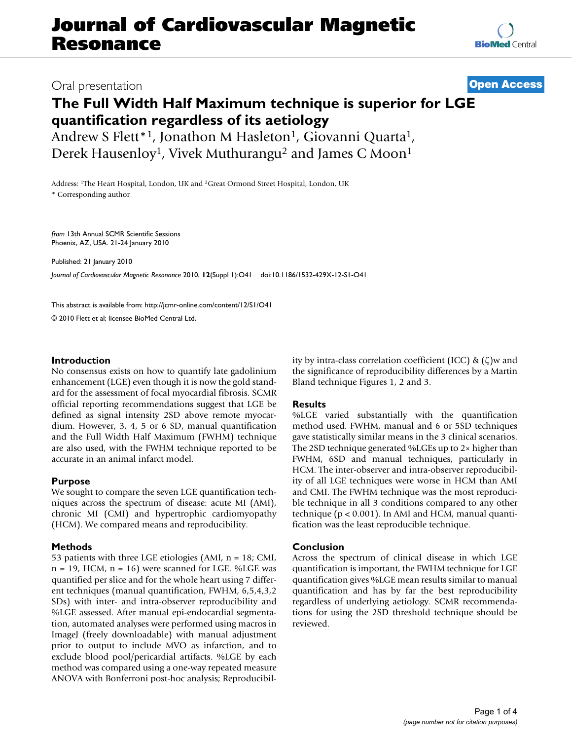# **Journal of Cardiovascular Magnetic Resonance**

### Oral presentation **[Open Access](http://www.biomedcentral.com/info/about/charter/)**

## **The Full Width Half Maximum technique is superior for LGE quantification regardless of its aetiology**

Andrew S Flett<sup>\*1</sup>, Jonathon M Hasleton<sup>1</sup>, Giovanni Quarta<sup>1</sup>, Derek Hausenloy<sup>1</sup>, Vivek Muthurangu<sup>2</sup> and James C Moon<sup>1</sup>

Address: 1The Heart Hospital, London, UK and 2Great Ormond Street Hospital, London, UK \* Corresponding author

*from* 13th Annual SCMR Scientific Sessions Phoenix, AZ, USA. 21-24 January 2010

Published: 21 January 2010

*Journal of Cardiovascular Magnetic Resonance* 2010, **12**(Suppl 1):O41 doi:10.1186/1532-429X-12-S1-O41

[This abstract is available from: http://jcmr-online.com/content/12/S1/O41](http://jcmr-online.com/content/12/S1/O41)

© 2010 Flett et al; licensee BioMed Central Ltd.

#### **Introduction**

No consensus exists on how to quantify late gadolinium enhancement (LGE) even though it is now the gold standard for the assessment of focal myocardial fibrosis. SCMR official reporting recommendations suggest that LGE be defined as signal intensity 2SD above remote myocardium. However, 3, 4, 5 or 6 SD, manual quantification and the Full Width Half Maximum (FWHM) technique are also used, with the FWHM technique reported to be accurate in an animal infarct model.

#### **Purpose**

We sought to compare the seven LGE quantification techniques across the spectrum of disease: acute MI (AMI), chronic MI (CMI) and hypertrophic cardiomyopathy (HCM). We compared means and reproducibility.

#### **Methods**

53 patients with three LGE etiologies (AMI, n = 18; CMI,  $n = 19$ , HCM,  $n = 16$ ) were scanned for LGE. %LGE was quantified per slice and for the whole heart using 7 different techniques (manual quantification, FWHM, 6,5,4,3,2 SDs) with inter- and intra-observer reproducibility and %LGE assessed. After manual epi-endocardial segmentation, automated analyses were performed using macros in ImageJ (freely downloadable) with manual adjustment prior to output to include MVO as infarction, and to exclude blood pool/pericardial artifacts. %LGE by each method was compared using a one-way repeated measure ANOVA with Bonferroni post-hoc analysis; Reproducibility by intra-class correlation coefficient (ICC) & (ζ)w and the significance of reproducibility differences by a Martin Bland technique Figures 1, 2 and 3.

#### **Results**

%LGE varied substantially with the quantification method used. FWHM, manual and 6 or 5SD techniques gave statistically similar means in the 3 clinical scenarios. The 2SD technique generated %LGEs up to 2× higher than FWHM, 6SD and manual techniques, particularly in HCM. The inter-observer and intra-observer reproducibility of all LGE techniques were worse in HCM than AMI and CMI. The FWHM technique was the most reproducible technique in all 3 conditions compared to any other technique (p < 0.001). In AMI and HCM, manual quantification was the least reproducible technique.

#### **Conclusion**

Across the spectrum of clinical disease in which LGE quantification is important, the FWHM technique for LGE quantification gives %LGE mean results similar to manual quantification and has by far the best reproducibility regardless of underlying aetiology. SCMR recommendations for using the 2SD threshold technique should be reviewed.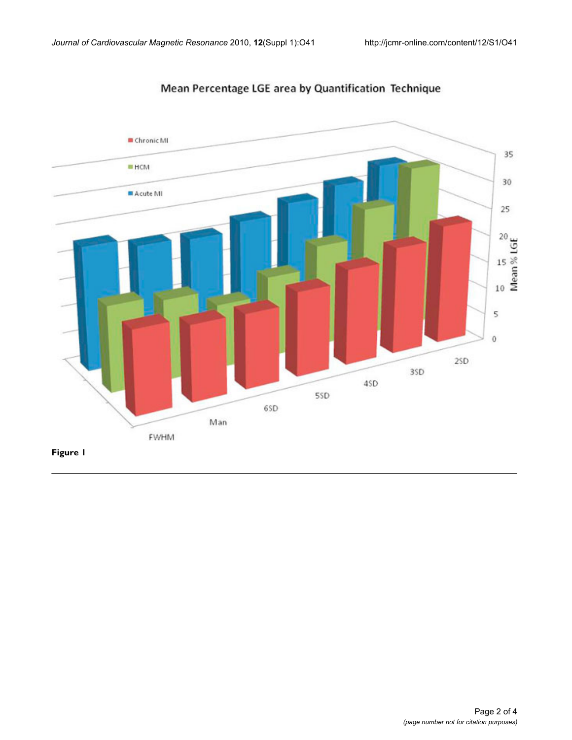

Mean Percentage LGE area by Quantification Technique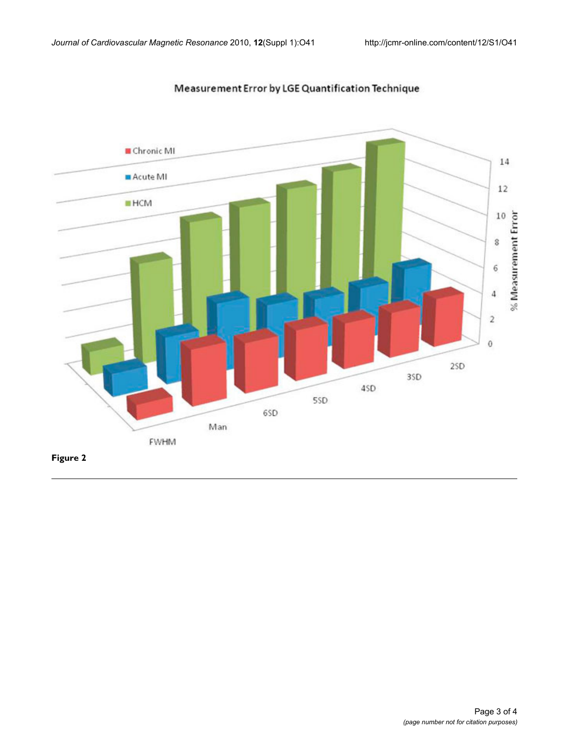

Measurement Error by LGE Quantification Technique